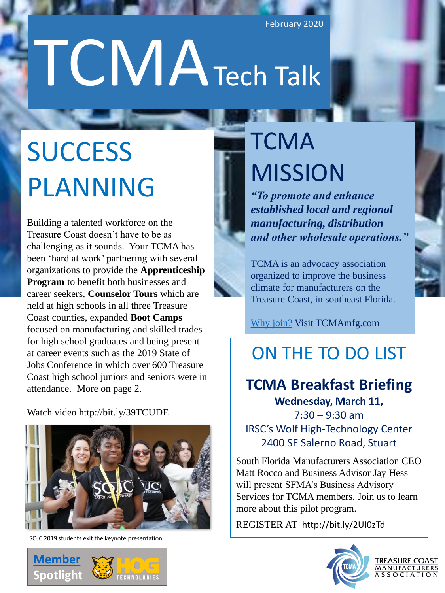February 2020

# TCMATech Talk

# **SUCCESS** PLANNING

Building a talented workforce on the Treasure Coast doesn't have to be as challenging as it sounds. Your TCMA has been 'hard at work' partnering with several organizations to provide the **Apprenticeship Program** to benefit both businesses and career seekers, **Counselor Tours** which are held at high schools in all three Treasure Coast counties, expanded **Boot Camps**  focused on manufacturing and skilled trades for high school graduates and being present at career events such as the 2019 State of Jobs Conference in which over 600 Treasure Coast high school juniors and seniors were in attendance. More on page 2.

Watch video http://bit.ly/39TCUDE



SOJC 2019 students exit the keynote presentation.



# **TCMA** MISSION

*"To promote and enhance established local and regional manufacturing, distribution and other wholesale operations."*

TCMA is an advocacy association organized to improve the business climate for manufacturers on the Treasure Coast, in southeast Florida.

[Why join?](https://www.tcmamfg.com/why-join) Visit TCMAmfg.com

## ON THE TO DO LIST

## **TCMA Breakfast Briefing**

**Wednesday, March 11,**   $7:30 - 9:30$  am IRSC's Wolf High-Technology Center 2400 SE Salerno Road, Stuart

South Florida Manufacturers Association CEO Matt Rocco and Business Advisor Jay Hess will present SFMA's Business Advisory Services for TCMA members. Join us to learn more about this pilot program.

REGISTER AT http://bit.ly/2UI0zTd



**TREASURE COAST MANUFACTURERS** <u>A S S O C I A T I O N</u>